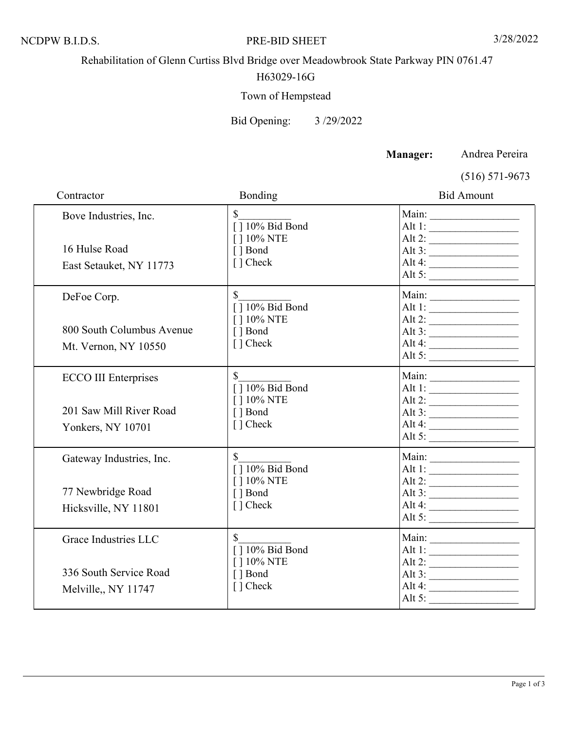### NCDPW B.I.D.S. PRE-BID SHEET 3/28/2022

Rehabilitation of Glenn Curtiss Blvd Bridge over Meadowbrook State Parkway PIN 0761.47

## H63029-16G

# Town of Hempstead

Bid Opening: 3 /29/2022

**Manager:** Andrea Pereira

(516) 571-9673

| Contractor                                                                  | Bonding                                                                               | <b>Bid Amount</b>                                                                                                                                                                                                                                                                                                                                                                                                                                                                           |
|-----------------------------------------------------------------------------|---------------------------------------------------------------------------------------|---------------------------------------------------------------------------------------------------------------------------------------------------------------------------------------------------------------------------------------------------------------------------------------------------------------------------------------------------------------------------------------------------------------------------------------------------------------------------------------------|
| Bove Industries, Inc.<br>16 Hulse Road                                      | $\mathbb{S}$<br>$\sqrt{10\% \text{ Bid Bond}}$<br>[ ] 10% NTE<br>[ ] Bond             | Alt 1:<br>Alt 2: $\frac{1}{\sqrt{1-\frac{1}{2}}}\frac{1}{\sqrt{1-\frac{1}{2}}\sqrt{1-\frac{1}{2}}\sqrt{1-\frac{1}{2}}}}$<br>Alt 3: $\qquad \qquad$                                                                                                                                                                                                                                                                                                                                          |
| East Setauket, NY 11773                                                     | [ ] Check                                                                             | Alt 4: $\frac{2}{1}$<br>Alt 5:                                                                                                                                                                                                                                                                                                                                                                                                                                                              |
| DeFoe Corp.                                                                 | $\mathbb{S}$<br>$\sqrt{10\% \text{ Bid Bond}}$                                        | Alt 1:                                                                                                                                                                                                                                                                                                                                                                                                                                                                                      |
| 800 South Columbus Avenue<br>Mt. Vernon, NY 10550                           | [ ] 10% NTE<br>[ ] Bond<br>$\lceil$ $\rceil$ Check                                    | Alt 2: $\qquad \qquad$<br>Alt 4: $\frac{2}{1}$<br>Alt 5: $\frac{2}{\sqrt{2}}$                                                                                                                                                                                                                                                                                                                                                                                                               |
| <b>ECCO III Enterprises</b><br>201 Saw Mill River Road<br>Yonkers, NY 10701 | [] 10% Bid Bond<br>[ ] 10% NTE<br>[ ] Bond<br>[ ] Check                               | Alt 1: $\qquad \qquad$<br>Alt 2: $\frac{2}{2}$<br>Alt 4: $\qquad \qquad$                                                                                                                                                                                                                                                                                                                                                                                                                    |
| Gateway Industries, Inc.<br>77 Newbridge Road<br>Hicksville, NY 11801       | $\sqrt{10\% \text{ Bid Bond}}$<br>[ ] 10% NTE<br>[ ] Bond<br>[ ] Check                | Main:<br>Alt 1:<br>Alt 2: $\frac{1}{\sqrt{1-\frac{1}{2}}}\frac{1}{\sqrt{1-\frac{1}{2}}\sqrt{1-\frac{1}{2}}\sqrt{1-\frac{1}{2}}\sqrt{1-\frac{1}{2}}\sqrt{1-\frac{1}{2}}\sqrt{1-\frac{1}{2}}\sqrt{1-\frac{1}{2}}\sqrt{1-\frac{1}{2}}\sqrt{1-\frac{1}{2}}\sqrt{1-\frac{1}{2}}\sqrt{1-\frac{1}{2}}\sqrt{1-\frac{1}{2}}\sqrt{1-\frac{1}{2}}\sqrt{1-\frac{1}{2}}\sqrt{1-\frac{1}{2}}\sqrt{1-\frac{1}{2}}\sqrt{1-\frac{1}{2}}\sqrt{1-\$<br>Alt 3: $\qquad \qquad$<br>Alt 5: $\qquad \qquad \qquad$ |
| Grace Industries LLC<br>336 South Service Road<br>Melville,, NY 11747       | $\mathbb{S}$<br>$\sqrt{10\% \text{ Bid Bond}}$<br>[] 10% NTE<br>[ ] Bond<br>[ ] Check | Alt 1:<br>Alt 2: $\qquad \qquad$<br>Alt 3: $\frac{2}{1}$<br>Alt 4:<br>Alt 5:                                                                                                                                                                                                                                                                                                                                                                                                                |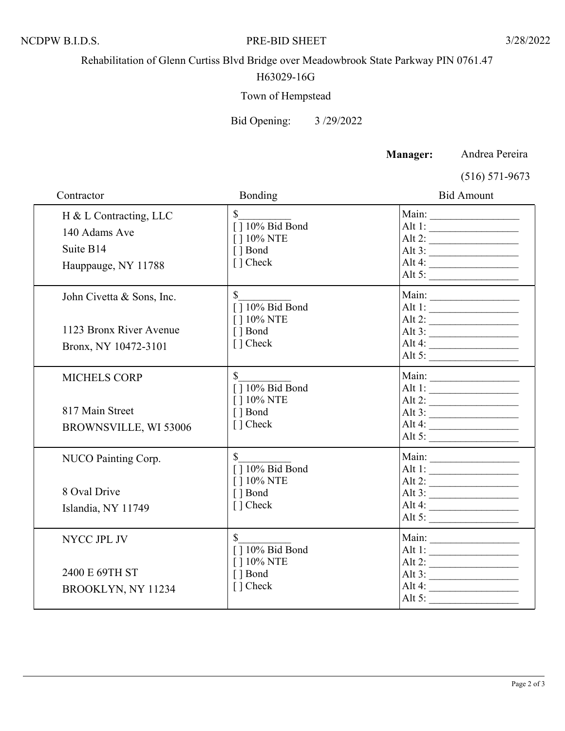#### NCDPW B.I.D.S. PRE-BID SHEET 3/28/2022

Rehabilitation of Glenn Curtiss Blvd Bridge over Meadowbrook State Parkway PIN 0761.47

## H63029-16G

# Town of Hempstead

Bid Opening: 3 /29/2022

**Manager:** Andrea Pereira

(516) 571-9673

| Contractor                                                                   | Bonding                                                                               | <b>Bid Amount</b>                                                                                                                                                                                                                                                                                                                                                                                                                                                      |
|------------------------------------------------------------------------------|---------------------------------------------------------------------------------------|------------------------------------------------------------------------------------------------------------------------------------------------------------------------------------------------------------------------------------------------------------------------------------------------------------------------------------------------------------------------------------------------------------------------------------------------------------------------|
| H & L Contracting, LLC<br>140 Adams Ave<br>Suite B14<br>Hauppauge, NY 11788  | $\mathbb{S}$<br>$\sqrt{10\% \text{ Bid Bond}}$<br>[ ] 10% NTE<br>[ ] Bond<br>[] Check | Alt 1:<br>Alt 2: $\qquad \qquad$<br>Alt $3:$<br>Alt 4: $\qquad \qquad$<br>Alt 5:                                                                                                                                                                                                                                                                                                                                                                                       |
| John Civetta & Sons, Inc.<br>1123 Bronx River Avenue<br>Bronx, NY 10472-3101 | $\mathbb{S}$<br>[] 10% Bid Bond<br>[ ] 10% NTE<br>[ ] Bond<br>[] Check                | Main:<br>Alt 1:<br>Alt 2: $\qquad \qquad$<br>Alt 3: $\qquad \qquad$<br>Alt 4: $\qquad \qquad$<br>Alt 5:                                                                                                                                                                                                                                                                                                                                                                |
| <b>MICHELS CORP</b><br>817 Main Street<br>BROWNSVILLE, WI 53006              | [] 10% Bid Bond<br>[ ] 10% NTE<br>[ ] Bond<br>[ ] Check                               | Alt 1:<br>Alt 2: $\frac{1}{\sqrt{1-\frac{1}{2}}}\frac{1}{\sqrt{1-\frac{1}{2}}}\frac{1}{\sqrt{1-\frac{1}{2}}}\frac{1}{\sqrt{1-\frac{1}{2}}}\frac{1}{\sqrt{1-\frac{1}{2}}}\frac{1}{\sqrt{1-\frac{1}{2}}}\frac{1}{\sqrt{1-\frac{1}{2}}}\frac{1}{\sqrt{1-\frac{1}{2}}}\frac{1}{\sqrt{1-\frac{1}{2}}}\frac{1}{\sqrt{1-\frac{1}{2}}}\frac{1}{\sqrt{1-\frac{1}{2}}}\frac{1}{\sqrt{1-\frac{1}{2}}}\frac{1}{\sqrt{1-\frac{1}{2}}}\frac{1}{$<br>Alt 3:<br>Alt 4: $\qquad \qquad$ |
| NUCO Painting Corp.<br>8 Oval Drive<br>Islandia, NY 11749                    | $\mathbf S$<br>$[ ] 10\%$ Bid Bond<br>[ ] 10% NTE<br>[ ] Bond<br>[] Check             | Main:<br>Alt 1:<br>Alt 2: $\qquad \qquad$<br>Alt 3: $\qquad \qquad$<br>Alt 5:                                                                                                                                                                                                                                                                                                                                                                                          |
| NYCC JPL JV<br>2400 E 69TH ST<br>BROOKLYN, NY 11234                          | \$<br>$[ ] 10\sqrt[9]{ }$ Bid Bond<br>[ ] 10% NTE<br>[ ] Bond<br>[] Check             | Alt 2:<br>Alt 3: $\qquad \qquad$<br>Alt 4: $\frac{2}{1}$                                                                                                                                                                                                                                                                                                                                                                                                               |